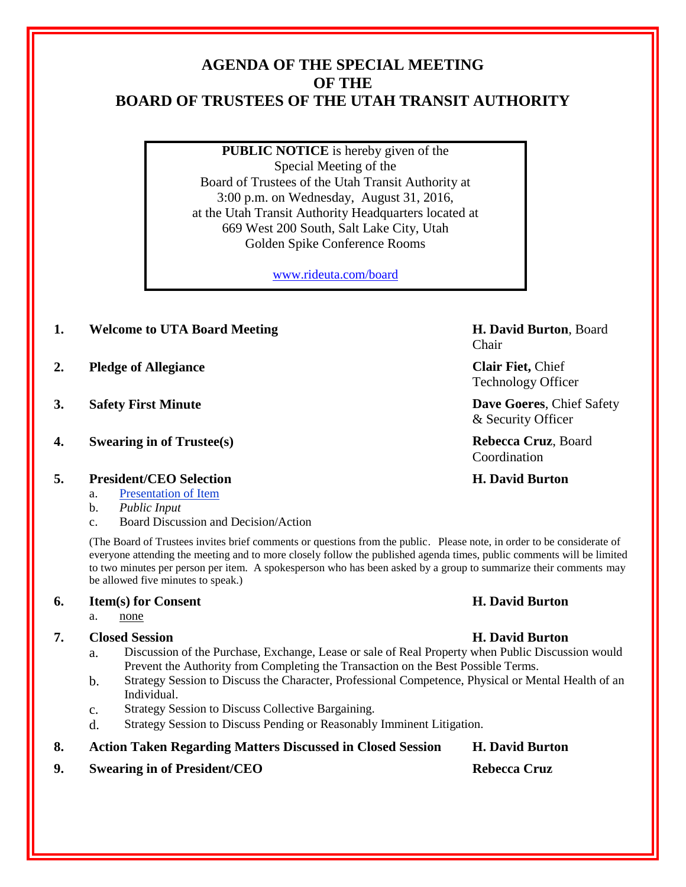# **AGENDA OF THE SPECIAL MEETING OF THE BOARD OF TRUSTEES OF THE UTAH TRANSIT AUTHORITY**

**PUBLIC NOTICE** is hereby given of the Special Meeting of the Board of Trustees of the Utah Transit Authority at 3:00 p.m. on Wednesday, August 31, 2016, at the Utah Transit Authority Headquarters located at 669 West 200 South, Salt Lake City, Utah Golden Spike Conference Rooms

[www.rideuta.com/board](http://www.rideuta.com/board)

**1. Welcome to UTA Board Meeting H. David Burton**, Board

**2. Pledge of Allegiance Clair Fiet,** Chief

- 
- **4. Swearing in of Trustee(s) Rebecca Cruz**, Board
- **5. President/CEO Selection H. David Burton**
	- a. Presentation of Item

### b. *Public Input*

c. Board Discussion and Decision/Action

(The Board of Trustees invites brief comments or questions from the public. Please note, in order to be considerate of everyone attending the meeting and to more closely follow the published agenda times, public comments will be limited to two minutes per person per item. A spokesperson who has been asked by a group to summarize their comments may be allowed five minutes to speak.)

### **6. Item(s) for Consent H. David Burton**

### a. none

## **7. Closed Session H. David Burton**

- a. Discussion of the Purchase, Exchange, Lease or sale of Real Property when Public Discussion would Prevent the Authority from Completing the Transaction on the Best Possible Terms.
- b. Strategy Session to Discuss the Character, Professional Competence, Physical or Mental Health of an Individual.
- c. Strategy Session to Discuss Collective Bargaining.
- d. Strategy Session to Discuss Pending or Reasonably Imminent Litigation.
- **8. Action Taken Regarding Matters Discussed in Closed Session H. David Burton**
- **9.** Swearing in of President/CEO Rebecca Cruz

Chair

Technology Officer

**3. Safety First Minute Dave Goeres**, Chief Safety & Security Officer

Coordination